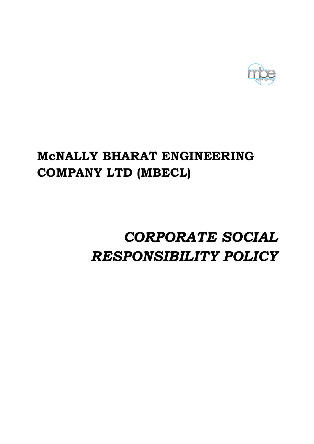

# McNALLY BHARAT ENGINEERING COMPANY LTD (MBECL)

# RESPONSIBILITY POLICY CORPORATE SOCIAL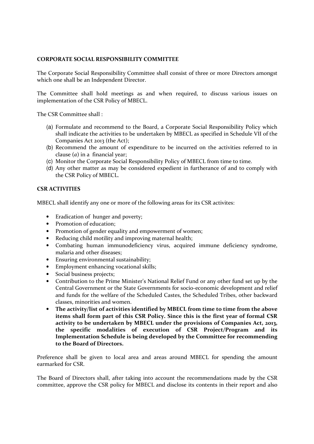# CORPORATE SOCIAL RESPONSIBILITY COMMITTEE

The Corporate Social Responsibility Committee shall consist of three or more Directors amongst which one shall be an Independent Director.

The Committee shall hold meetings as and when required, to discuss various issues on implementation of the CSR Policy of MBECL.

The CSR Committee shall :

- (a) Formulate and recommend to the Board, a Corporate Social Responsibility Policy which shall indicate the activities to be undertaken by MBECL as specified in Schedule VII of the Companies Act 2013 (the Act);
- (b) Recommend the amount of expenditure to be incurred on the activities referred to in clause  $(a)$  in a financial vear:
- (c) Monitor the Corporate Social Responsibility Policy of MBECL from time to time.
- (d) Any other matter as may be considered expedient in furtherance of and to comply with the CSR Policy of MBECL.

## CSR ACTIVITIES

MBECL shall identify any one or more of the following areas for its CSR activites:

- Eradication of hunger and poverty;
- Promotion of education;
- Promotion of gender equality and empowerment of women;
- Reducing child motility and improving maternal health;
- Combating human immunodeficiency virus, acquired immune deficiency syndrome, malaria and other diseases;
- Ensuring environmental sustainability;
- Employment enhancing vocational skills;
- Social business projects;
- Contribution to the Prime Minister's National Relief Fund or any other fund set up by the Central Government or the State Governments for socio-economic development and relief and funds for the welfare of the Scheduled Castes, the Scheduled Tribes, other backward classes, minorities and women.
- The activity/list of activities identified by MBECL from time to time from the above items shall form part of this CSR Policy. Since this is the first year of formal CSR activity to be undertaken by MBECL under the provisions of Companies Act, 2013, the specific modalities of execution of CSR Project/Program and its Implementation Schedule is being developed by the Committee for recommending to the Board of Directors.

Preference shall be given to local area and areas around MBECL for spending the amount earmarked for CSR.

The Board of Directors shall, after taking into account the recommendations made by the CSR committee, approve the CSR policy for MBECL and disclose its contents in their report and also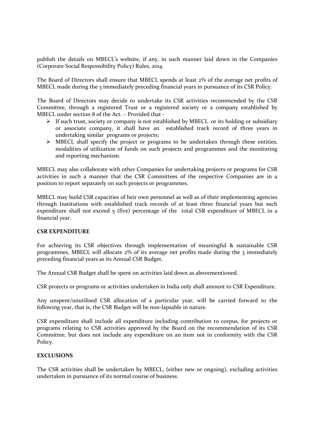publish the details on MBECL's website, if any, in such manner laid down in the Companies (Corporate Social Responsibility Policy) Rules, 2014.

The Board of Directors shall ensure that MBECL spends at least 2% of the average net profits of MBECL made during the 3 immediately preceding financial years in pursuance of its CSR Policy.

The Board of Directors may decide to undertake its CSR activities recommended by the CSR Committee, through a registered Trust or a registered society or a company established by MBECL under section 8 of the Act. – Provided that -

- If such trust, society or company is not established by MBECL or its holding or subsidiary or associate company, it shall have an established track record of three years in undertaking similar programs or projects;
- $\triangleright$  MBECL shall specify the project or programs to be undertaken through these entities, modalities of utilization of funds on such projects and programmes and the monitoring and reporting mechanism.

MBECL may also collaborate with other Companies for undertaking projects or programs for CSR activities in such a manner that the CSR Committees of the respective Companies are in a position to report separately on such projects or programmes.

MBECL may build CSR capacities of heir own personnel as well as of their implementing agencies through Institutions with established track records of at least three financial years but such expenditure shall not exceed  $\varsigma$  (five) percentage of the total CSR expenditure of MBECL in a financial year.

#### CSR EXPENDITURE

For achieving its CSR objectives through implementation of meaningful & sustainable CSR programmes, MBECL will allocate 2% of its average net profits made during the 3 immediately preceding financial years as its Annual CSR Budget.

The Annual CSR Budget shall be spent on activities laid down as abovementioned.

CSR projects or programs or activities undertaken in India only shall amount to CSR Expenditure.

Any unspent/unutilised CSR allocation of a particular year, will be carried forward to the following year, that is, the CSR Budget will be non-lapsable in nature.

CSR expenditure shall include all expenditure including contribution to corpus, for projects or programs relating to CSR activities approved by the Board on the recommendation of its CSR Committee, but does not include any expenditure on an item not in conformity with the CSR Policy.

#### EXCLUSIONS

The CSR activities shall be undertaken by MBECL, (either new or ongoing), excluding activities undertaken in pursuance of its normal course of business.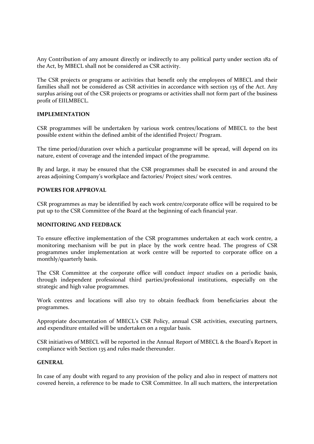Any Contribution of any amount directly or indirectly to any political party under section 182 of the Act, by MBECL shall not be considered as CSR activity.

The CSR projects or programs or activities that benefit only the employees of MBECL and their families shall not be considered as CSR activities in accordance with section 135 of the Act. Any surplus arising out of the CSR projects or programs or activities shall not form part of the business profit of EIILMBECL.

#### IMPLEMENTATION

CSR programmes will be undertaken by various work centres/locations of MBECL to the best possible extent within the defined ambit of the identified Project/ Program.

The time period/duration over which a particular programme will be spread, will depend on its nature, extent of coverage and the intended impact of the programme.

By and large, it may be ensured that the CSR programmes shall be executed in and around the areas adjoining Company's workplace and factories/ Project sites/ work centres.

## POWERS FOR APPROVAL

CSR programmes as may be identified by each work centre/corporate office will be required to be put up to the CSR Committee of the Board at the beginning of each financial year.

#### MONITORING AND FEEDBACK

To ensure effective implementation of the CSR programmes undertaken at each work centre, a monitoring mechanism will be put in place by the work centre head. The progress of CSR programmes under implementation at work centre will be reported to corporate office on a monthly/quarterly basis.

The CSR Committee at the corporate office will conduct impact studies on a periodic basis, through independent professional third parties/professional institutions, especially on the strategic and high value programmes.

Work centres and locations will also try to obtain feedback from beneficiaries about the programmes.

Appropriate documentation of MBECL's CSR Policy, annual CSR activities, executing partners, and expenditure entailed will be undertaken on a regular basis.

CSR initiatives of MBECL will be reported in the Annual Report of MBECL & the Board's Report in compliance with Section 135 and rules made thereunder.

#### GENERAL

In case of any doubt with regard to any provision of the policy and also in respect of matters not covered herein, a reference to be made to CSR Committee. In all such matters, the interpretation